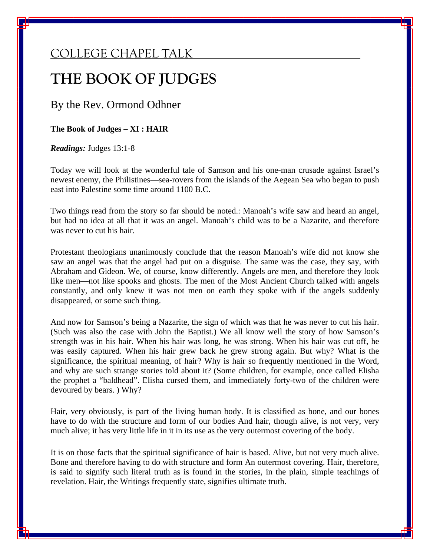## COLLEGE CHAPEL TALK

# **THE BOOK OF JUDGES**

By the Rev. Ormond Odhner

**The Book of Judges – XI : HAIR** 

*Readings:* Judges 13:1-8

Today we will look at the wonderful tale of Samson and his one-man crusade against Israel's newest enemy, the Philistines—sea-rovers from the islands of the Aegean Sea who began to push east into Palestine some time around 1100 B.C.

Two things read from the story so far should be noted.: Manoah's wife saw and heard an angel, but had no idea at all that it was an angel. Manoah's child was to be a Nazarite, and therefore was never to cut his hair.

Protestant theologians unanimously conclude that the reason Manoah's wife did not know she saw an angel was that the angel had put on a disguise. The same was the case, they say, with Abraham and Gideon. We, of course, know differently. Angels *are* men, and therefore they look like men—not like spooks and ghosts. The men of the Most Ancient Church talked with angels constantly, and only knew it was not men on earth they spoke with if the angels suddenly disappeared, or some such thing.

And now for Samson's being a Nazarite, the sign of which was that he was never to cut his hair. (Such was also the case with John the Baptist.) We all know well the story of how Samson's strength was in his hair. When his hair was long, he was strong. When his hair was cut off, he was easily captured. When his hair grew back he grew strong again. But why? What is the significance, the spiritual meaning, of hair? Why is hair so frequently mentioned in the Word, and why are such strange stories told about it? (Some children, for example, once called Elisha the prophet a "baldhead". Elisha cursed them, and immediately forty-two of the children were devoured by bears. ) Why?

Hair, very obviously, is part of the living human body. It is classified as bone, and our bones have to do with the structure and form of our bodies And hair, though alive, is not very, very much alive; it has very little life in it in its use as the very outermost covering of the body.

It is on those facts that the spiritual significance of hair is based. Alive, but not very much alive. Bone and therefore having to do with structure and form An outermost covering. Hair, therefore, is said to signify such literal truth as is found in the stories, in the plain, simple teachings of revelation. Hair, the Writings frequently state, signifies ultimate truth.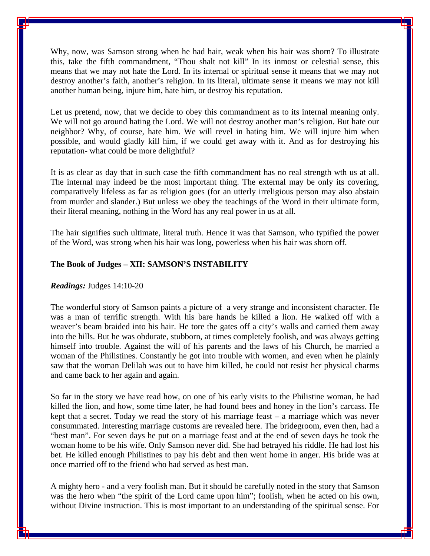Why, now, was Samson strong when he had hair, weak when his hair was shorn? To illustrate this, take the fifth commandment, "Thou shalt not kill" In its inmost or celestial sense, this means that we may not hate the Lord. In its internal or spiritual sense it means that we may not destroy another's faith, another's religion. In its literal, ultimate sense it means we may not kill another human being, injure him, hate him, or destroy his reputation.

Let us pretend, now, that we decide to obey this commandment as to its internal meaning only. We will not go around hating the Lord. We will not destroy another man's religion. But hate our neighbor? Why, of course, hate him. We will revel in hating him. We will injure him when possible, and would gladly kill him, if we could get away with it. And as for destroying his reputation- what could be more delightful?

It is as clear as day that in such case the fifth commandment has no real strength wth us at all. The internal may indeed be the most important thing. The external may be only its covering, comparatively lifeless as far as religion goes (for an utterly irreligious person may also abstain from murder and slander.) But unless we obey the teachings of the Word in their ultimate form, their literal meaning, nothing in the Word has any real power in us at all.

The hair signifies such ultimate, literal truth. Hence it was that Samson, who typified the power of the Word, was strong when his hair was long, powerless when his hair was shorn off.

### **The Book of Judges – XII: SAMSON'S INSTABILITY**

#### *Readings:* Judges 14:10-20

The wonderful story of Samson paints a picture of a very strange and inconsistent character. He was a man of terrific strength. With his bare hands he killed a lion. He walked off with a weaver's beam braided into his hair. He tore the gates off a city's walls and carried them away into the hills. But he was obdurate, stubborn, at times completely foolish, and was always getting himself into trouble. Against the will of his parents and the laws of his Church, he married a woman of the Philistines. Constantly he got into trouble with women, and even when he plainly saw that the woman Delilah was out to have him killed, he could not resist her physical charms and came back to her again and again.

So far in the story we have read how, on one of his early visits to the Philistine woman, he had killed the lion, and how, some time later, he had found bees and honey in the lion's carcass. He kept that a secret. Today we read the story of his marriage feast – a marriage which was never consummated. Interesting marriage customs are revealed here. The bridegroom, even then, had a "best man". For seven days he put on a marriage feast and at the end of seven days he took the woman home to be his wife. Only Samson never did. She had betrayed his riddle. He had lost his bet. He killed enough Philistines to pay his debt and then went home in anger. His bride was at once married off to the friend who had served as best man.

A mighty hero - and a very foolish man. But it should be carefully noted in the story that Samson was the hero when "the spirit of the Lord came upon him"; foolish, when he acted on his own, without Divine instruction. This is most important to an understanding of the spiritual sense. For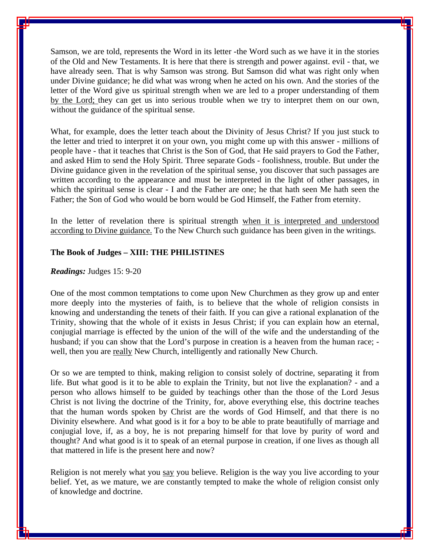Samson, we are told, represents the Word in its letter -the Word such as we have it in the stories of the Old and New Testaments. It is here that there is strength and power against. evil - that, we have already seen. That is why Samson was strong. But Samson did what was right only when under Divine guidance; he did what was wrong when he acted on his own. And the stories of the letter of the Word give us spiritual strength when we are led to a proper understanding of them by the Lord; they can get us into serious trouble when we try to interpret them on our own, without the guidance of the spiritual sense.

What, for example, does the letter teach about the Divinity of Jesus Christ? If you just stuck to the letter and tried to interpret it on your own, you might come up with this answer - millions of people have - that it teaches that Christ is the Son of God, that He said prayers to God the Father, and asked Him to send the Holy Spirit. Three separate Gods - foolishness, trouble. But under the Divine guidance given in the revelation of the spiritual sense, you discover that such passages are written according to the appearance and must be interpreted in the light of other passages, in which the spiritual sense is clear - I and the Father are one; he that hath seen Me hath seen the Father; the Son of God who would be born would be God Himself, the Father from eternity.

In the letter of revelation there is spiritual strength when it is interpreted and understood according to Divine guidance. To the New Church such guidance has been given in the writings.

#### **The Book of Judges – XIII: THE PHILISTINES**

#### *Readings:* Judges 15: 9-20

One of the most common temptations to come upon New Churchmen as they grow up and enter more deeply into the mysteries of faith, is to believe that the whole of religion consists in knowing and understanding the tenets of their faith. If you can give a rational explanation of the Trinity, showing that the whole of it exists in Jesus Christ; if you can explain how an eternal, conjugial marriage is effected by the union of the will of the wife and the understanding of the husband; if you can show that the Lord's purpose in creation is a heaven from the human race; well, then you are really New Church, intelligently and rationally New Church.

Or so we are tempted to think, making religion to consist solely of doctrine, separating it from life. But what good is it to be able to explain the Trinity, but not live the explanation? - and a person who allows himself to be guided by teachings other than the those of the Lord Jesus Christ is not living the doctrine of the Trinity, for, above everything else, this doctrine teaches that the human words spoken by Christ are the words of God Himself, and that there is no Divinity elsewhere. And what good is it for a boy to be able to prate beautifully of marriage and conjugial love, if, as a boy, he is not preparing himself for that love by purity of word and thought? And what good is it to speak of an eternal purpose in creation, if one lives as though all that mattered in life is the present here and now?

Religion is not merely what you say you believe. Religion is the way you live according to your belief. Yet, as we mature, we are constantly tempted to make the whole of religion consist only of knowledge and doctrine.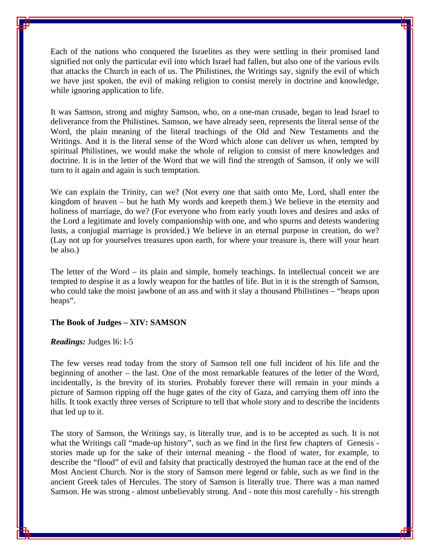Each of the nations who conquered the Israelites as they were settling in their promised land signified not only the particular evil into which Israel had fallen, but also one of the various evils that attacks the Church in each of us. The Philistines, the Writings say, signify the evil of which we have just spoken, the evil of making religion to consist merely in doctrine and knowledge, while ignoring application to life.

It was Samson, strong and mighty Samson, who, on a one-man crusade, began to lead Israel to deliverance from the Philistines. Samson, we have already seen, represents the literal sense of the Word, the plain meaning of the literal teachings of the Old and New Testaments and the Writings. And it is the literal sense of the Word which alone can deliver us when, tempted by spiritual Philistines, we would make the whole of religion to consist of mere knowledges and doctrine. It is in the letter of the Word that we will find the strength of Samson, if only we will turn to it again and again is such temptation.

We can explain the Trinity, can we? (Not every one that saith onto Me, Lord, shall enter the kingdom of heaven – but he hath My words and keepeth them.) We believe in the eternity and holiness of marriage, do we? (For everyone who from early youth loves and desires and asks of the Lord a legitimate and lovely companionship with one, and who spurns and detests wandering lusts, a conjugial marriage is provided.) We believe in an eternal purpose in creation, do we? (Lay not up for yourselves treasures upon earth, for where your treasure is, there will your heart be also.)

The letter of the Word – its plain and simple, homely teachings. In intellectual conceit we are tempted to despise it as a lowly weapon for the battles of life. But in it is the strength of Samson, who could take the moist jawbone of an ass and with it slay a thousand Philistines – "heaps upon" heaps".

#### **The Book of Judges – XIV: SAMSON**

#### *Readings:* Judges l6: l-5

The few verses read today from the story of Samson tell one full incident of his life and the beginning of another – the last. One of the most remarkable features of the letter of the Word, incidentally, is the brevity of its stories. Probably forever there will remain in your minds a picture of Samson ripping off the huge gates of the city of Gaza, and carrying them off into the hills. It took exactly three verses of Scripture to tell that whole story and to describe the incidents that led up to it.

The story of Samson, the Writings say, is literally true, and is to be accepted as such. It is not what the Writings call "made-up history", such as we find in the first few chapters of Genesis stories made up for the sake of their internal meaning - the flood of water, for example, to describe the "flood" of evil and falsity that practically destroyed the human race at the end of the Most Ancient Church. Nor is the story of Samson mere legend or fable, such as we find in the ancient Greek tales of Hercules. The story of Samson is literally true. There was a man named Samson. He was strong - almost unbelievably strong. And - note this most carefully - his strength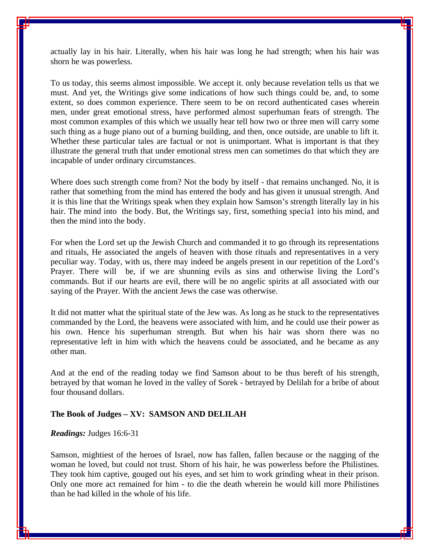actually lay in his hair. Literally, when his hair was long he had strength; when his hair was shorn he was powerless.

To us today, this seems almost impossible. We accept it. only because revelation tells us that we must. And yet, the Writings give some indications of how such things could be, and, to some extent, so does common experience. There seem to be on record authenticated cases wherein men, under great emotional stress, have performed almost superhuman feats of strength. The most common examples of this which we usually hear tell how two or three men will carry some such thing as a huge piano out of a burning building, and then, once outside, are unable to lift it. Whether these particular tales are factual or not is unimportant. What is important is that they illustrate the general truth that under emotional stress men can sometimes do that which they are incapable of under ordinary circumstances.

Where does such strength come from? Not the body by itself - that remains unchanged. No, it is rather that something from the mind has entered the body and has given it unusual strength. And it is this line that the Writings speak when they explain how Samson's strength literally lay in his hair. The mind into the body. But, the Writings say, first, something specia1 into his mind, and then the mind into the body.

For when the Lord set up the Jewish Church and commanded it to go through its representations and rituals, He associated the angels of heaven with those rituals and representatives in a very peculiar way. Today, with us, there may indeed be angels present in our repetition of the Lord's Prayer. There will be, if we are shunning evils as sins and otherwise living the Lord's commands. But if our hearts are evil, there will be no angelic spirits at all associated with our saying of the Prayer. With the ancient Jews the case was otherwise.

It did not matter what the spiritual state of the Jew was. As long as he stuck to the representatives commanded by the Lord, the heavens were associated with him, and he could use their power as his own. Hence his superhuman strength. But when his hair was shorn there was no representative left in him with which the heavens could be associated, and he became as any other man.

And at the end of the reading today we find Samson about to be thus bereft of his strength, betrayed by that woman he loved in the valley of Sorek - betrayed by Delilah for a bribe of about four thousand dollars.

#### **The Book of Judges – XV: SAMSON AND DELILAH**

#### *Readings:* Judges 16:6-31

Samson, mightiest of the heroes of Israel, now has fallen, fallen because or the nagging of the woman he loved, but could not trust. Shorn of his hair, he was powerless before the Philistines. They took him captive, gouged out his eyes, and set him to work grinding wheat in their prison. Only one more act remained for him - to die the death wherein he would kill more Philistines than he had killed in the whole of his life.